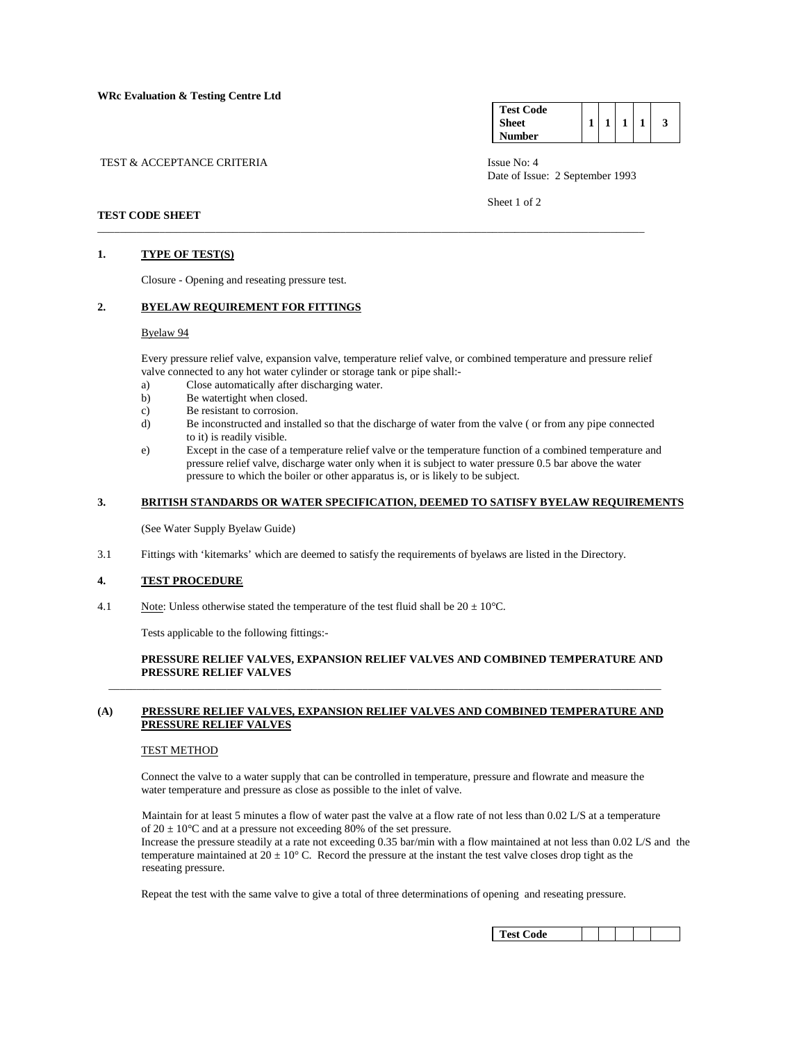| TEST & ACCEPTANCE CRITERIA | Issue No: 4 |
|----------------------------|-------------|

| <b>Test Code</b> |  |  |  |
|------------------|--|--|--|
| <b>Sheet</b>     |  |  |  |
| Number           |  |  |  |

Date of Issue: 2 September 1993

Sheet 1 of 2

# **TEST CODE SHEET**

#### **1. TYPE OF TEST(S)**

Closure - Opening and reseating pressure test.

## **2. BYELAW REQUIREMENT FOR FITTINGS**

#### Byelaw 94

 Every pressure relief valve, expansion valve, temperature relief valve, or combined temperature and pressure relief valve connected to any hot water cylinder or storage tank or pipe shall:-

\_\_\_\_\_\_\_\_\_\_\_\_\_\_\_\_\_\_\_\_\_\_\_\_\_\_\_\_\_\_\_\_\_\_\_\_\_\_\_\_\_\_\_\_\_\_\_\_\_\_\_\_\_\_\_\_\_\_\_\_\_\_\_\_\_\_\_\_\_\_\_\_\_\_\_\_\_\_\_\_\_\_\_\_\_\_\_\_\_\_\_\_\_\_\_\_\_

- a) Close automatically after discharging water.
- b) Be watertight when closed.
- c) Be resistant to corrosion.
- d) Be inconstructed and installed so that the discharge of water from the valve ( or from any pipe connected to it) is readily visible.
- e) Except in the case of a temperature relief valve or the temperature function of a combined temperature and pressure relief valve, discharge water only when it is subject to water pressure 0.5 bar above the water pressure to which the boiler or other apparatus is, or is likely to be subject.

#### **3. BRITISH STANDARDS OR WATER SPECIFICATION, DEEMED TO SATISFY BYELAW REQUIREMENTS**

(See Water Supply Byelaw Guide)

3.1 Fittings with 'kitemarks' which are deemed to satisfy the requirements of byelaws are listed in the Directory.

## **4. TEST PROCEDURE**

4.1 Note: Unless otherwise stated the temperature of the test fluid shall be  $20 \pm 10^{\circ}$ C.

Tests applicable to the following fittings:-

## **PRESSURE RELIEF VALVES, EXPANSION RELIEF VALVES AND COMBINED TEMPERATURE AND PRESSURE RELIEF VALVES**

### **(A) PRESSURE RELIEF VALVES, EXPANSION RELIEF VALVES AND COMBINED TEMPERATURE AND PRESSURE RELIEF VALVES**

 $\overline{\phantom{a}}$  , and the set of the set of the set of the set of the set of the set of the set of the set of the set of the set of the set of the set of the set of the set of the set of the set of the set of the set of the s

#### TEST METHOD

 Connect the valve to a water supply that can be controlled in temperature, pressure and flowrate and measure the water temperature and pressure as close as possible to the inlet of valve.

 Maintain for at least 5 minutes a flow of water past the valve at a flow rate of not less than 0.02 L/S at a temperature of  $20 \pm 10^{\circ}$ C and at a pressure not exceeding 80% of the set pressure.

 Increase the pressure steadily at a rate not exceeding 0.35 bar/min with a flow maintained at not less than 0.02 L/S and the temperature maintained at  $20 \pm 10^{\circ}$  C. Record the pressure at the instant the test valve closes drop tight as the reseating pressure.

Repeat the test with the same valve to give a total of three determinations of opening and reseating pressure.

| <b>Test Code</b> |  |  |  |  |  |
|------------------|--|--|--|--|--|
|------------------|--|--|--|--|--|